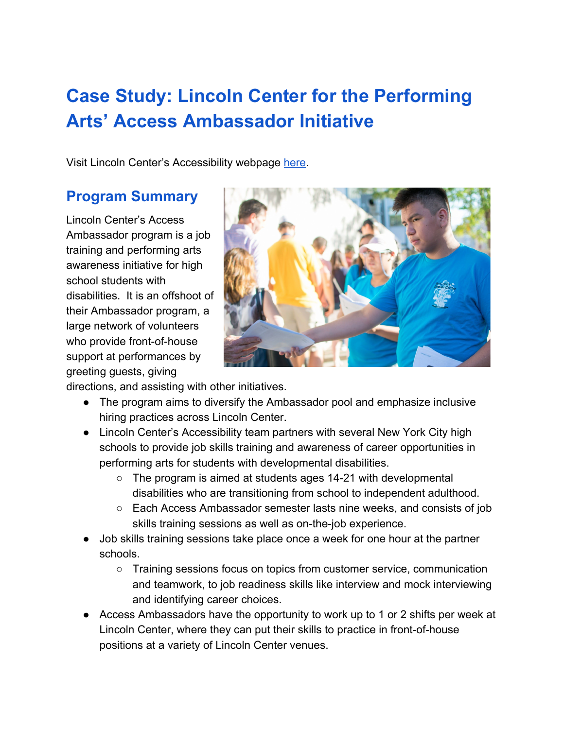# **Case Study: Lincoln Center for the Performing Arts' Access Ambassador Initiative**

Visit Lincoln Center's Accessibility webpage [here](http://www.aboutlincolncenter.org/programs/program-pspd/accessibility-overview).

## **Program Summary**

Lincoln Center's Access Ambassador program is a job training and performing arts awareness initiative for high school students with disabilities. It is an offshoot of their Ambassador program, a large network of volunteers who provide front-of-house support at performances by greeting guests, giving



directions, and assisting with other initiatives.

- The program aims to diversify the Ambassador pool and emphasize inclusive hiring practices across Lincoln Center.
- Lincoln Center's Accessibility team partners with several New York City high schools to provide job skills training and awareness of career opportunities in performing arts for students with developmental disabilities.
	- $\circ$  The program is aimed at students ages 14-21 with developmental disabilities who are transitioning from school to independent adulthood.
	- Each Access Ambassador semester lasts nine weeks, and consists of job skills training sessions as well as on-the-job experience.
- Job skills training sessions take place once a week for one hour at the partner schools.
	- Training sessions focus on topics from customer service, communication and teamwork, to job readiness skills like interview and mock interviewing and identifying career choices.
- Access Ambassadors have the opportunity to work up to 1 or 2 shifts per week at Lincoln Center, where they can put their skills to practice in front-of-house positions at a variety of Lincoln Center venues.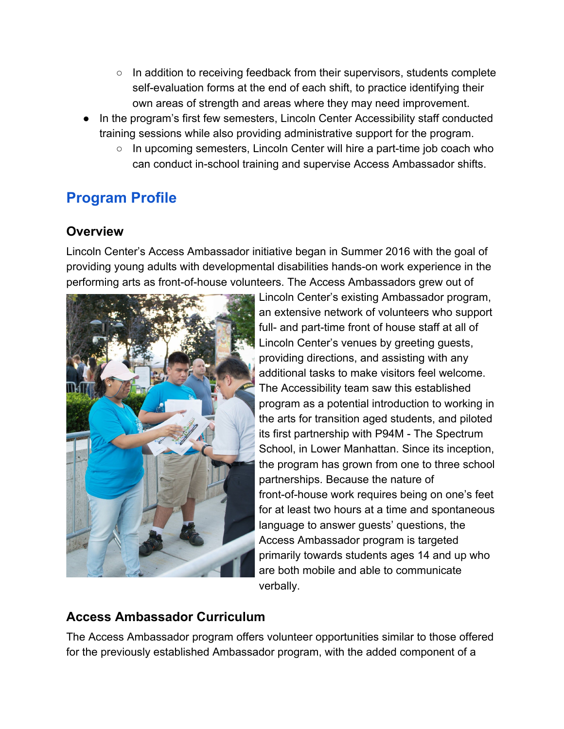- In addition to receiving feedback from their supervisors, students complete self-evaluation forms at the end of each shift, to practice identifying their own areas of strength and areas where they may need improvement.
- In the program's first few semesters, Lincoln Center Accessibility staff conducted training sessions while also providing administrative support for the program.
	- $\circ$  In upcoming semesters, Lincoln Center will hire a part-time job coach who can conduct in-school training and supervise Access Ambassador shifts.

# **Program Profile**

#### **Overview**

Lincoln Center's Access Ambassador initiative began in Summer 2016 with the goal of providing young adults with developmental disabilities hands-on work experience in the performing arts as front-of-house volunteers. The Access Ambassadors grew out of



Lincoln Center's existing Ambassador program, an extensive network of volunteers who support full- and part-time front of house staff at all of Lincoln Center's venues by greeting guests, providing directions, and assisting with any additional tasks to make visitors feel welcome. The Accessibility team saw this established program as a potential introduction to working in the arts for transition aged students, and piloted its first partnership with P94M - The Spectrum School, in Lower Manhattan. Since its inception, the program has grown from one to three school partnerships. Because the nature of front-of-house work requires being on one's feet for at least two hours at a time and spontaneous language to answer guests' questions, the Access Ambassador program is targeted primarily towards students ages 14 and up who are both mobile and able to communicate verbally.

#### **Access Ambassador Curriculum**

The Access Ambassador program offers volunteer opportunities similar to those offered for the previously established Ambassador program, with the added component of a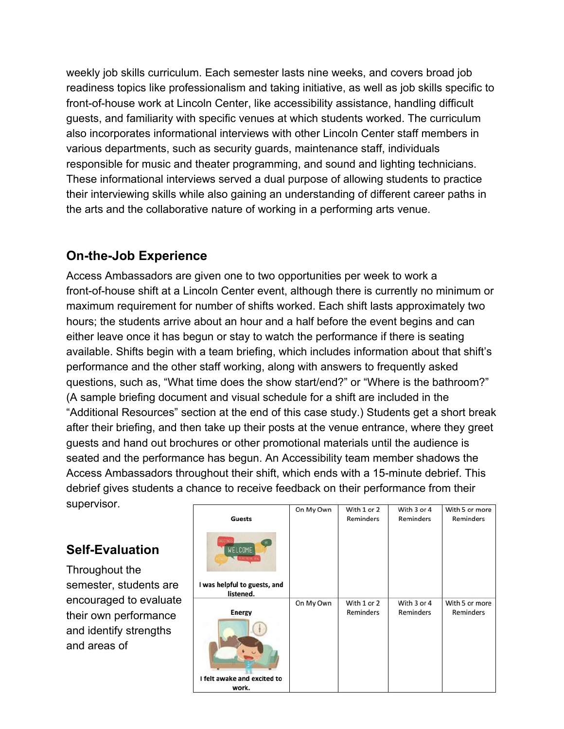weekly job skills curriculum. Each semester lasts nine weeks, and covers broad job readiness topics like professionalism and taking initiative, as well as job skills specific to front-of-house work at Lincoln Center, like accessibility assistance, handling difficult guests, and familiarity with specific venues at which students worked. The curriculum also incorporates informational interviews with other Lincoln Center staff members in various departments, such as security guards, maintenance staff, individuals responsible for music and theater programming, and sound and lighting technicians. These informational interviews served a dual purpose of allowing students to practice their interviewing skills while also gaining an understanding of different career paths in the arts and the collaborative nature of working in a performing arts venue.

#### **On-the-Job Experience**

Access Ambassadors are given one to two opportunities per week to work a front-of-house shift at a Lincoln Center event, although there is currently no minimum or maximum requirement for number of shifts worked. Each shift lasts approximately two hours; the students arrive about an hour and a half before the event begins and can either leave once it has begun or stay to watch the performance if there is seating available. Shifts begin with a team briefing, which includes information about that shift's performance and the other staff working, along with answers to frequently asked questions, such as, "What time does the show start/end?" or "Where is the bathroom?" (A sample briefing document and visual schedule for a shift are included in the "Additional Resources" section at the end of this case study.) Students get a short break after their briefing, and then take up their posts at the venue entrance, where they greet guests and hand out brochures or other promotional materials until the audience is seated and the performance has begun. An Accessibility team member shadows the Access Ambassadors throughout their shift, which ends with a 15-minute debrief. This debrief gives students a chance to receive feedback on their performance from their supervisor.

#### **Self-Evaluation**

Throughout the semester, students are encouraged to evaluate their own performance and identify strengths and areas of

| <b>Guests</b>                                                                            | On My Own | With 1 or 2<br>Reminders | With 3 or 4<br>Reminders | With 5 or more<br>Reminders |
|------------------------------------------------------------------------------------------|-----------|--------------------------|--------------------------|-----------------------------|
| CREETINGS<br>WELCOME<br><b>ELKI 1378-16</b><br>I was helpful to guests, and<br>listened. |           |                          |                          |                             |
| <b>Energy</b><br>I felt awake and excited to<br>work.                                    | On My Own | With 1 or 2<br>Reminders | With 3 or 4<br>Reminders | With 5 or more<br>Reminders |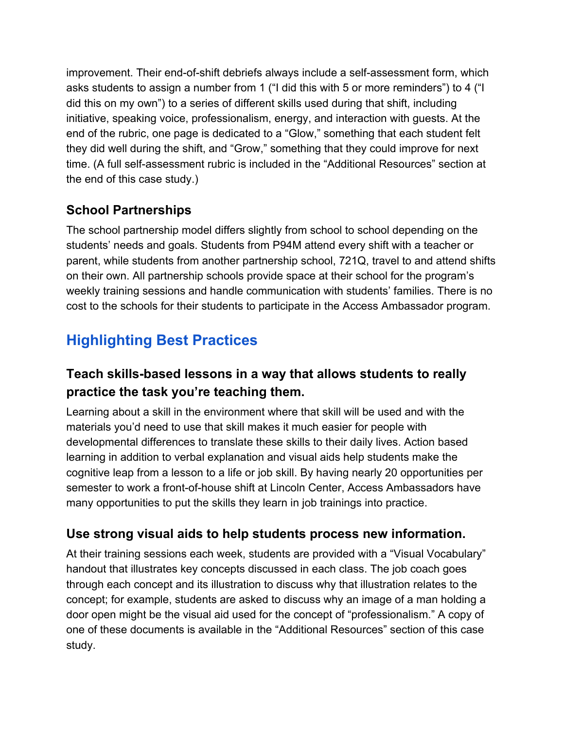improvement. Their end-of-shift debriefs always include a self-assessment form, which asks students to assign a number from 1 ("I did this with 5 or more reminders") to 4 ("I did this on my own") to a series of different skills used during that shift, including initiative, speaking voice, professionalism, energy, and interaction with guests. At the end of the rubric, one page is dedicated to a "Glow," something that each student felt they did well during the shift, and "Grow," something that they could improve for next time. (A full self-assessment rubric is included in the "Additional Resources" section at the end of this case study.)

### **School Partnerships**

The school partnership model differs slightly from school to school depending on the students' needs and goals. Students from P94M attend every shift with a teacher or parent, while students from another partnership school, 721Q, travel to and attend shifts on their own. All partnership schools provide space at their school for the program's weekly training sessions and handle communication with students' families. There is no cost to the schools for their students to participate in the Access Ambassador program.

# **Highlighting Best Practices**

### **Teach skills-based lessons in a way that allows students to really practice the task you're teaching them.**

Learning about a skill in the environment where that skill will be used and with the materials you'd need to use that skill makes it much easier for people with developmental differences to translate these skills to their daily lives. Action based learning in addition to verbal explanation and visual aids help students make the cognitive leap from a lesson to a life or job skill. By having nearly 20 opportunities per semester to work a front-of-house shift at Lincoln Center, Access Ambassadors have many opportunities to put the skills they learn in job trainings into practice.

#### **Use strong visual aids to help students process new information.**

At their training sessions each week, students are provided with a "Visual Vocabulary" handout that illustrates key concepts discussed in each class. The job coach goes through each concept and its illustration to discuss why that illustration relates to the concept; for example, students are asked to discuss why an image of a man holding a door open might be the visual aid used for the concept of "professionalism." A copy of one of these documents is available in the "Additional Resources" section of this case study.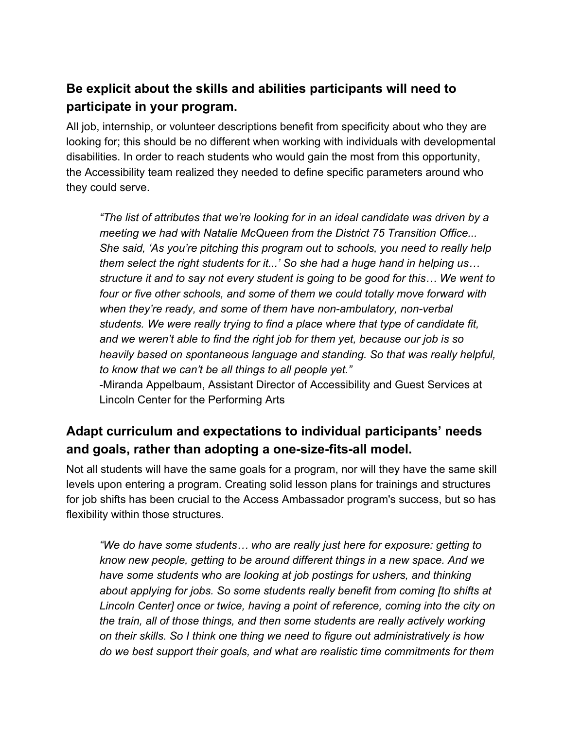### **Be explicit about the skills and abilities participants will need to participate in your program.**

All job, internship, or volunteer descriptions benefit from specificity about who they are looking for; this should be no different when working with individuals with developmental disabilities. In order to reach students who would gain the most from this opportunity, the Accessibility team realized they needed to define specific parameters around who they could serve.

*"The list of attributes that we're looking for in an ideal candidate was driven by a meeting we had with Natalie McQueen from the District 75 Transition Office... She said, 'As you're pitching this program out to schools, you need to really help them select the right students for it...' So she had a huge hand in helping us… structure it and to say not every student is going to be good for this… We went to four or five other schools, and some of them we could totally move forward with when they're ready, and some of them have non-ambulatory, non-verbal students. We were really trying to find a place where that type of candidate fit, and we weren't able to find the right job for them yet, because our job is so heavily based on spontaneous language and standing. So that was really helpful, to know that we can't be all things to all people yet."*

-Miranda Appelbaum, Assistant Director of Accessibility and Guest Services at Lincoln Center for the Performing Arts

### **Adapt curriculum and expectations to individual participants' needs and goals, rather than adopting a one-size-fits-all model.**

Not all students will have the same goals for a program, nor will they have the same skill levels upon entering a program. Creating solid lesson plans for trainings and structures for job shifts has been crucial to the Access Ambassador program's success, but so has flexibility within those structures.

*"We do have some students… who are really just here for exposure: getting to know new people, getting to be around different things in a new space. And we have some students who are looking at job postings for ushers, and thinking about applying for jobs. So some students really benefit from coming [to shifts at Lincoln Center] once or twice, having a point of reference, coming into the city on the train, all of those things, and then some students are really actively working on their skills. So I think one thing we need to figure out administratively is how do we best support their goals, and what are realistic time commitments for them*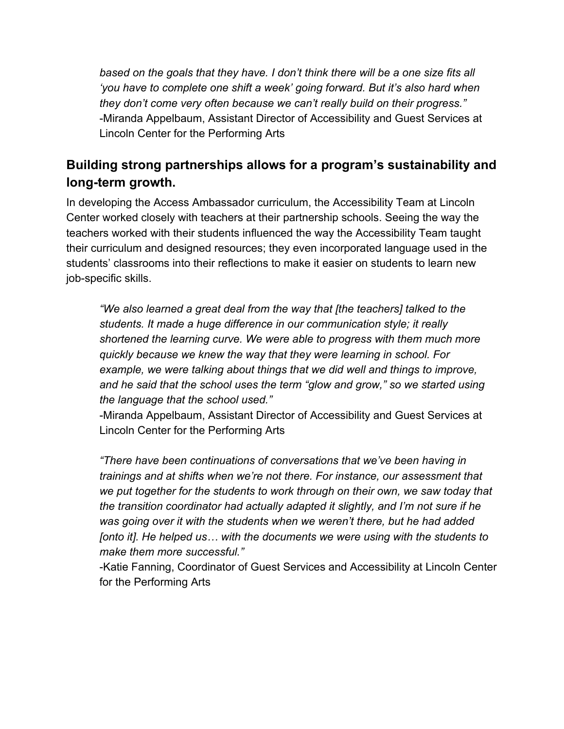*based on the goals that they have. I don't think there will be a one size fits all 'you have to complete one shift a week' going forward. But it's also hard when they don't come very often because we can't really build on their progress."* -Miranda Appelbaum, Assistant Director of Accessibility and Guest Services at Lincoln Center for the Performing Arts

#### **Building strong partnerships allows for a program's sustainability and long-term growth.**

In developing the Access Ambassador curriculum, the Accessibility Team at Lincoln Center worked closely with teachers at their partnership schools. Seeing the way the teachers worked with their students influenced the way the Accessibility Team taught their curriculum and designed resources; they even incorporated language used in the students' classrooms into their reflections to make it easier on students to learn new job-specific skills.

*"We also learned a great deal from the way that [the teachers] talked to the students. It made a huge difference in our communication style; it really shortened the learning curve. We were able to progress with them much more quickly because we knew the way that they were learning in school. For example, we were talking about things that we did well and things to improve, and he said that the school uses the term "glow and grow," so we started using the language that the school used."*

-Miranda Appelbaum, Assistant Director of Accessibility and Guest Services at Lincoln Center for the Performing Arts

*"There have been continuations of conversations that we've been having in trainings and at shifts when we're not there. For instance, our assessment that we put together for the students to work through on their own, we saw today that the transition coordinator had actually adapted it slightly, and I'm not sure if he was going over it with the students when we weren't there, but he had added [onto it]. He helped us… with the documents we were using with the students to make them more successful."*

-Katie Fanning, Coordinator of Guest Services and Accessibility at Lincoln Center for the Performing Arts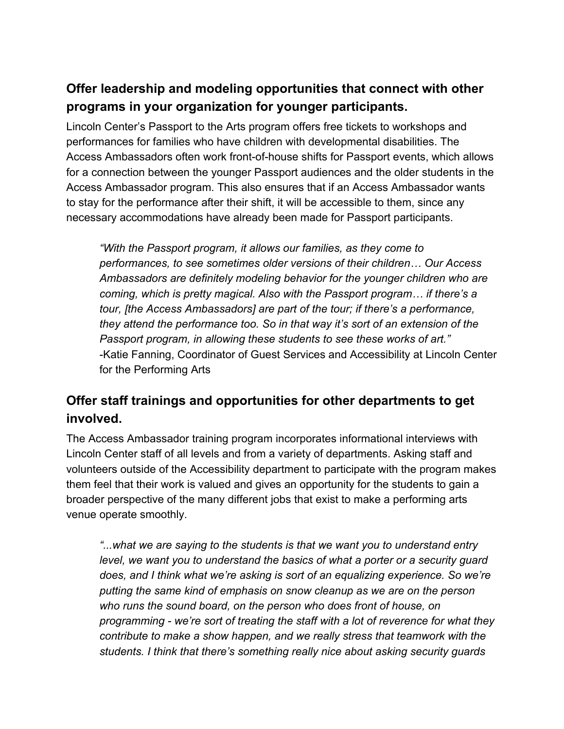#### **Offer leadership and modeling opportunities that connect with other programs in your organization for younger participants.**

Lincoln Center's Passport to the Arts program offers free tickets to workshops and performances for families who have children with developmental disabilities. The Access Ambassadors often work front-of-house shifts for Passport events, which allows for a connection between the younger Passport audiences and the older students in the Access Ambassador program. This also ensures that if an Access Ambassador wants to stay for the performance after their shift, it will be accessible to them, since any necessary accommodations have already been made for Passport participants.

*"With the Passport program, it allows our families, as they come to performances, to see sometimes older versions of their children… Our Access Ambassadors are definitely modeling behavior for the younger children who are coming, which is pretty magical. Also with the Passport program… if there's a tour, [the Access Ambassadors] are part of the tour; if there's a performance, they attend the performance too. So in that way it's sort of an extension of the Passport program, in allowing these students to see these works of art."* -Katie Fanning, Coordinator of Guest Services and Accessibility at Lincoln Center for the Performing Arts

#### **Offer staff trainings and opportunities for other departments to get involved.**

The Access Ambassador training program incorporates informational interviews with Lincoln Center staff of all levels and from a variety of departments. Asking staff and volunteers outside of the Accessibility department to participate with the program makes them feel that their work is valued and gives an opportunity for the students to gain a broader perspective of the many different jobs that exist to make a performing arts venue operate smoothly.

*"...what we are saying to the students is that we want you to understand entry level, we want you to understand the basics of what a porter or a security guard does, and I think what we're asking is sort of an equalizing experience. So we're putting the same kind of emphasis on snow cleanup as we are on the person who runs the sound board, on the person who does front of house, on programming - we're sort of treating the staff with a lot of reverence for what they contribute to make a show happen, and we really stress that teamwork with the students. I think that there's something really nice about asking security guards*